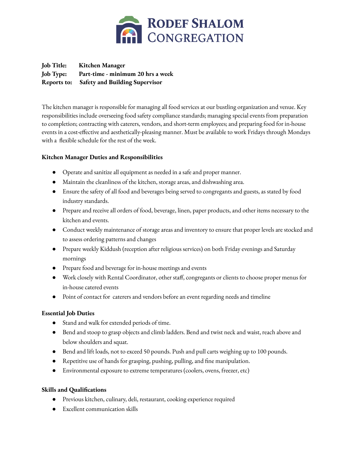

**Job Title: Kitchen Manager Job Type: Part-time - minimum 20 hrs a week Reports to: Safety and Building Supervisor**

The kitchen manager is responsible for managing all food services at our bustling organization and venue. Key responsibilities include overseeing food safety compliance standards; managing special events from preparation to completion; contracting with caterers, vendors, and short-term employees; and preparing food for in-house events in a cost-effective and aesthetically-pleasing manner. Must be available to work Fridays through Mondays with a flexible schedule for the rest of the week.

### **Kitchen Manager Duties and Responsibilities**

- Operate and sanitize all equipment as needed in a safe and proper manner.
- Maintain the cleanliness of the kitchen, storage areas, and dishwashing area.
- Ensure the safety of all food and beverages being served to congregants and guests, as stated by food industry standards.
- Prepare and receive all orders of food, beverage, linen, paper products, and other items necessary to the kitchen and events.
- Conduct weekly maintenance of storage areas and inventory to ensure that proper levels are stocked and to assess ordering patterns and changes
- Prepare weekly Kiddush (reception after religious services) on both Friday evenings and Saturday mornings
- Prepare food and beverage for in-house meetings and events
- Work closely with Rental Coordinator, other staff, congregants or clients to choose proper menus for in-house catered events
- Point of contact for caterers and vendors before an event regarding needs and timeline

#### **Essential Job Duties**

- Stand and walk for extended periods of time.
- Bend and stoop to grasp objects and climb ladders. Bend and twist neck and waist, reach above and below shoulders and squat.
- Bend and lift loads, not to exceed 50 pounds. Push and pull carts weighing up to 100 pounds.
- Repetitive use of hands for grasping, pushing, pulling, and fine manipulation.
- Environmental exposure to extreme temperatures (coolers, ovens, freezer, etc)

#### **Skills and Qualifications**

- Previous kitchen, culinary, deli, restaurant, cooking experience required
- Excellent communication skills